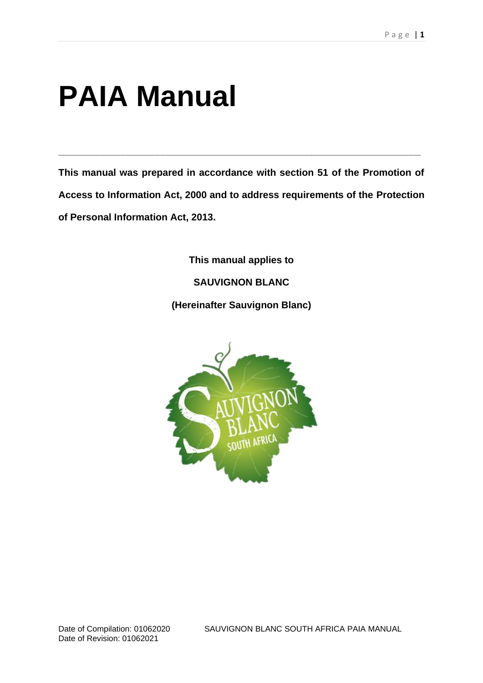# **PAIA Manual**

**This manual was prepared in accordance with section 51 of the Promotion of Access to Information Act, 2000 and to address requirements of the Protection of Personal Information Act, 2013.**

**\_\_\_\_\_\_\_\_\_\_\_\_\_\_\_\_\_\_\_\_\_\_\_\_\_\_\_\_\_\_\_\_\_\_\_\_\_\_\_\_\_\_\_\_\_\_\_\_\_\_\_\_\_\_\_\_\_\_\_\_\_\_\_\_\_\_\_\_\_\_\_\_\_**

**This manual applies to SAUVIGNON BLANC (Hereinafter Sauvignon Blanc)**



Date of Compilation: 01062020 SAUVIGNON BLANC SOUTH AFRICA PAIA MANUAL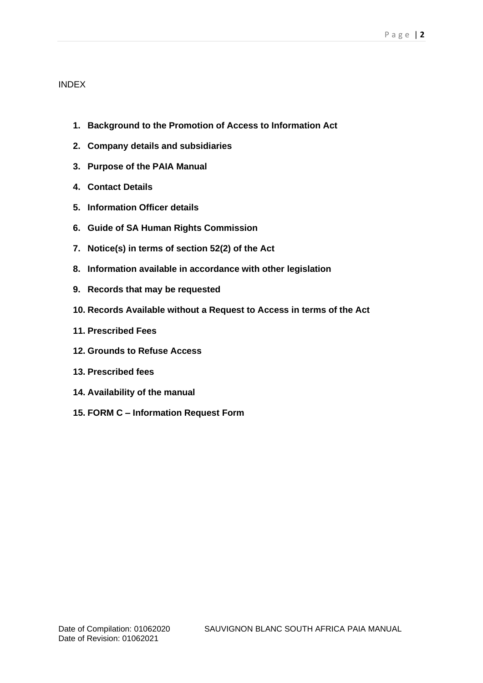## INDEX

- **1. Background to the Promotion of Access to Information Act**
- **2. Company details and subsidiaries**
- **3. Purpose of the PAIA Manual**
- **4. Contact Details**
- **5. Information Officer details**
- **6. Guide of SA Human Rights Commission**
- **7. Notice(s) in terms of section 52(2) of the Act**
- **8. Information available in accordance with other legislation**
- **9. Records that may be requested**
- **10. Records Available without a Request to Access in terms of the Act**
- **11. Prescribed Fees**
- **12. Grounds to Refuse Access**
- **13. Prescribed fees**
- **14. Availability of the manual**
- **15. FORM C – Information Request Form**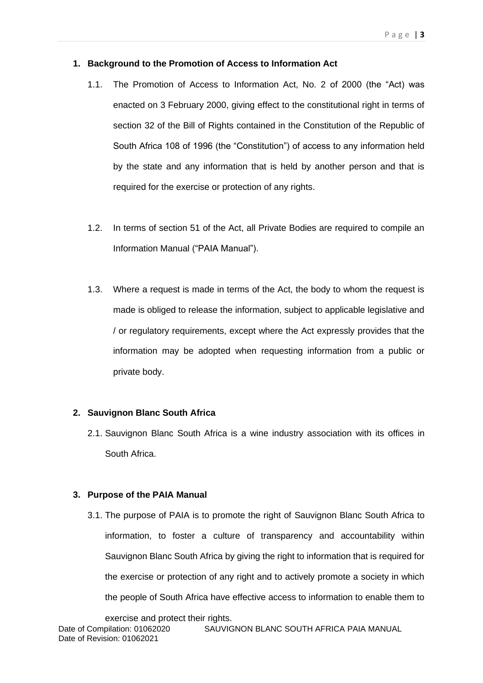#### **1. Background to the Promotion of Access to Information Act**

- 1.1. The Promotion of Access to Information Act, No. 2 of 2000 (the "Act) was enacted on 3 February 2000, giving effect to the constitutional right in terms of section 32 of the Bill of Rights contained in the Constitution of the Republic of South Africa 108 of 1996 (the "Constitution") of access to any information held by the state and any information that is held by another person and that is required for the exercise or protection of any rights.
- 1.2. In terms of section 51 of the Act, all Private Bodies are required to compile an Information Manual ("PAIA Manual").
- 1.3. Where a request is made in terms of the Act, the body to whom the request is made is obliged to release the information, subject to applicable legislative and / or regulatory requirements, except where the Act expressly provides that the information may be adopted when requesting information from a public or private body.

## **2. Sauvignon Blanc South Africa**

2.1. Sauvignon Blanc South Africa is a wine industry association with its offices in South Africa.

## **3. Purpose of the PAIA Manual**

3.1. The purpose of PAIA is to promote the right of Sauvignon Blanc South Africa to information, to foster a culture of transparency and accountability within Sauvignon Blanc South Africa by giving the right to information that is required for the exercise or protection of any right and to actively promote a society in which the people of South Africa have effective access to information to enable them to

exercise and protect their rights.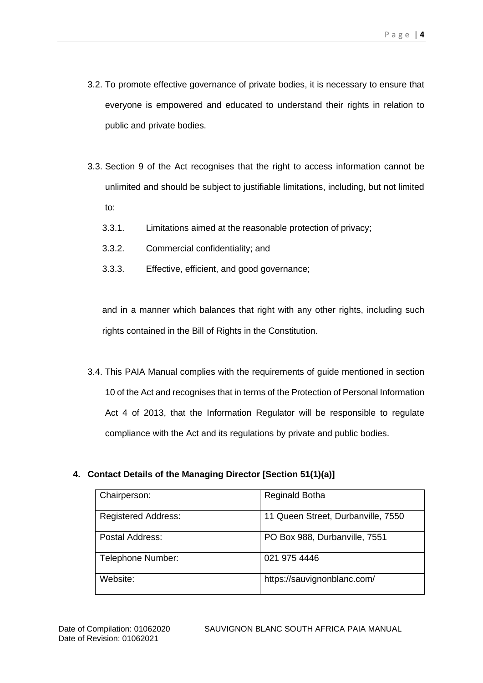- 3.2. To promote effective governance of private bodies, it is necessary to ensure that everyone is empowered and educated to understand their rights in relation to public and private bodies.
- 3.3. Section 9 of the Act recognises that the right to access information cannot be unlimited and should be subject to justifiable limitations, including, but not limited to:
	- 3.3.1. Limitations aimed at the reasonable protection of privacy;
	- 3.3.2. Commercial confidentiality; and
	- 3.3.3. Effective, efficient, and good governance;

and in a manner which balances that right with any other rights, including such rights contained in the Bill of Rights in the Constitution.

3.4. This PAIA Manual complies with the requirements of guide mentioned in section 10 of the Act and recognises that in terms of the Protection of Personal Information Act 4 of 2013, that the Information Regulator will be responsible to regulate compliance with the Act and its regulations by private and public bodies.

# **4. Contact Details of the Managing Director [Section 51(1)(a)]**

| Chairperson:               | <b>Reginald Botha</b>              |
|----------------------------|------------------------------------|
| <b>Registered Address:</b> | 11 Queen Street, Durbanville, 7550 |
| Postal Address:            | PO Box 988, Durbanville, 7551      |
| Telephone Number:          | 021 975 4446                       |
| Website:                   | https://sauvignonblanc.com/        |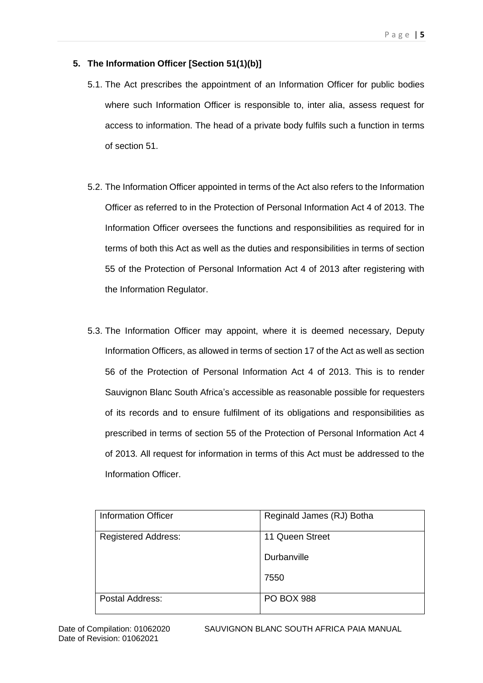## **5. The Information Officer [Section 51(1)(b)]**

- 5.1. The Act prescribes the appointment of an Information Officer for public bodies where such Information Officer is responsible to, inter alia, assess request for access to information. The head of a private body fulfils such a function in terms of section 51.
- 5.2. The Information Officer appointed in terms of the Act also refers to the Information Officer as referred to in the Protection of Personal Information Act 4 of 2013. The Information Officer oversees the functions and responsibilities as required for in terms of both this Act as well as the duties and responsibilities in terms of section 55 of the Protection of Personal Information Act 4 of 2013 after registering with the Information Regulator.
- 5.3. The Information Officer may appoint, where it is deemed necessary, Deputy Information Officers, as allowed in terms of section 17 of the Act as well as section 56 of the Protection of Personal Information Act 4 of 2013. This is to render Sauvignon Blanc South Africa's accessible as reasonable possible for requesters of its records and to ensure fulfilment of its obligations and responsibilities as prescribed in terms of section 55 of the Protection of Personal Information Act 4 of 2013. All request for information in terms of this Act must be addressed to the Information Officer.

| <b>Information Officer</b> | Reginald James (RJ) Botha |
|----------------------------|---------------------------|
| <b>Registered Address:</b> | 11 Queen Street           |
|                            | Durbanville               |
|                            | 7550                      |
| Postal Address:            | <b>PO BOX 988</b>         |

Date of Compilation: 01062020 SAUVIGNON BLANC SOUTH AFRICA PAIA MANUAL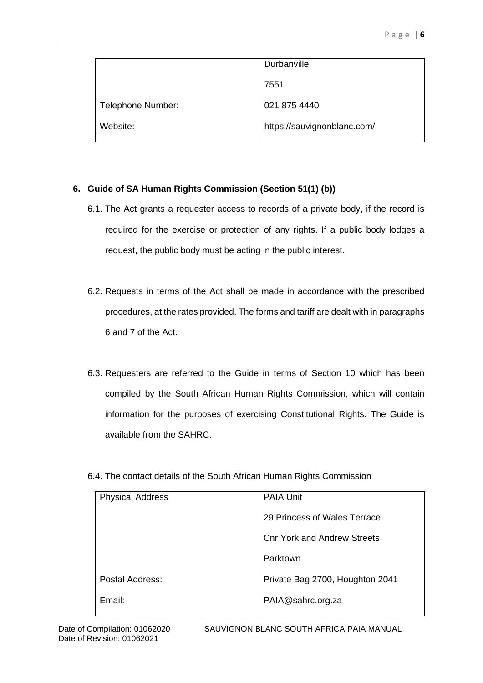|                   | Durbanville                 |
|-------------------|-----------------------------|
|                   | 7551                        |
| Telephone Number: | 021 875 4440                |
| Website:          | https://sauvignonblanc.com/ |

# **6. Guide of SA Human Rights Commission (Section 51(1) (b))**

- 6.1. The Act grants a requester access to records of a private body, if the record is required for the exercise or protection of any rights. If a public body lodges a request, the public body must be acting in the public interest.
- 6.2. Requests in terms of the Act shall be made in accordance with the prescribed procedures, at the rates provided. The forms and tariff are dealt with in paragraphs 6 and 7 of the Act.
- 6.3. Requesters are referred to the Guide in terms of Section 10 which has been compiled by the South African Human Rights Commission, which will contain information for the purposes of exercising Constitutional Rights. The Guide is available from the SAHRC.
- 6.4. The contact details of the South African Human Rights Commission

| <b>Physical Address</b> | <b>PAIA Unit</b>                   |
|-------------------------|------------------------------------|
|                         | 29 Princess of Wales Terrace       |
|                         | <b>Cnr York and Andrew Streets</b> |
|                         | Parktown                           |
| Postal Address:         | Private Bag 2700, Houghton 2041    |
| Email:                  | PAIA@sahrc.org.za                  |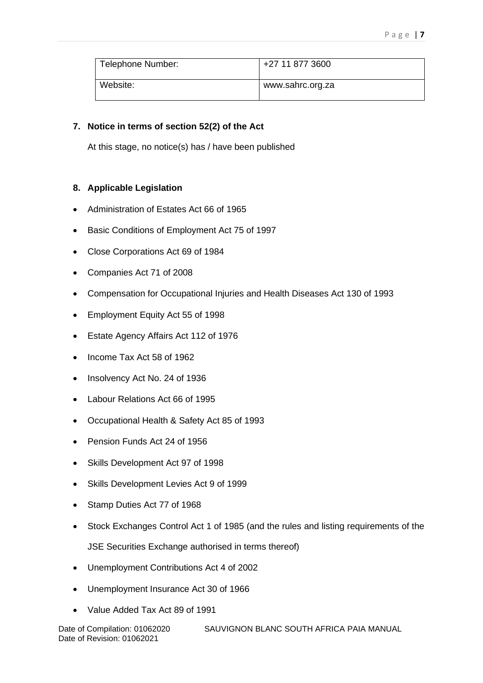| Telephone Number: | +27 11 877 3600  |
|-------------------|------------------|
| Website:          | www.sahrc.org.za |

# **7. Notice in terms of section 52(2) of the Act**

At this stage, no notice(s) has / have been published

# **8. Applicable Legislation**

- Administration of Estates Act 66 of 1965
- Basic Conditions of Employment Act 75 of 1997
- Close Corporations Act 69 of 1984
- Companies Act 71 of 2008
- Compensation for Occupational Injuries and Health Diseases Act 130 of 1993
- Employment Equity Act 55 of 1998
- Estate Agency Affairs Act 112 of 1976
- Income Tax Act 58 of 1962
- Insolvency Act No. 24 of 1936
- Labour Relations Act 66 of 1995
- Occupational Health & Safety Act 85 of 1993
- Pension Funds Act 24 of 1956
- Skills Development Act 97 of 1998
- Skills Development Levies Act 9 of 1999
- Stamp Duties Act 77 of 1968
- Stock Exchanges Control Act 1 of 1985 (and the rules and listing requirements of the JSE Securities Exchange authorised in terms thereof)
- Unemployment Contributions Act 4 of 2002
- Unemployment Insurance Act 30 of 1966
- Value Added Tax Act 89 of 1991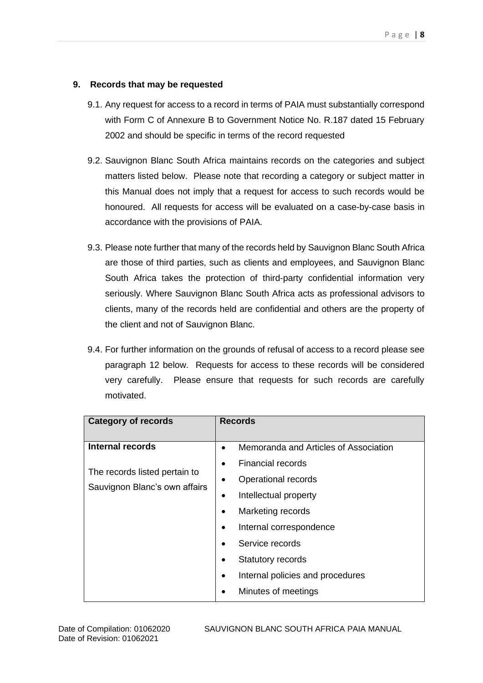# **9. Records that may be requested**

- 9.1. Any request for access to a record in terms of PAIA must substantially correspond with Form C of Annexure B to Government Notice No. R.187 dated 15 February 2002 and should be specific in terms of the record requested
- 9.2. Sauvignon Blanc South Africa maintains records on the categories and subject matters listed below. Please note that recording a category or subject matter in this Manual does not imply that a request for access to such records would be honoured. All requests for access will be evaluated on a case-by-case basis in accordance with the provisions of PAIA.
- 9.3. Please note further that many of the records held by Sauvignon Blanc South Africa are those of third parties, such as clients and employees, and Sauvignon Blanc South Africa takes the protection of third-party confidential information very seriously. Where Sauvignon Blanc South Africa acts as professional advisors to clients, many of the records held are confidential and others are the property of the client and not of Sauvignon Blanc.
- 9.4. For further information on the grounds of refusal of access to a record please see paragraph 12 below. Requests for access to these records will be considered very carefully. Please ensure that requests for such records are carefully motivated.

| <b>Category of records</b>                                     | <b>Records</b>                        |  |  |  |
|----------------------------------------------------------------|---------------------------------------|--|--|--|
|                                                                |                                       |  |  |  |
| Internal records                                               | Memoranda and Articles of Association |  |  |  |
|                                                                | Financial records                     |  |  |  |
| The records listed pertain to<br>Sauvignon Blanc's own affairs | Operational records                   |  |  |  |
|                                                                | Intellectual property                 |  |  |  |
|                                                                | Marketing records                     |  |  |  |
|                                                                | Internal correspondence               |  |  |  |
|                                                                | Service records                       |  |  |  |
|                                                                | <b>Statutory records</b>              |  |  |  |
|                                                                | Internal policies and procedures      |  |  |  |
|                                                                | Minutes of meetings                   |  |  |  |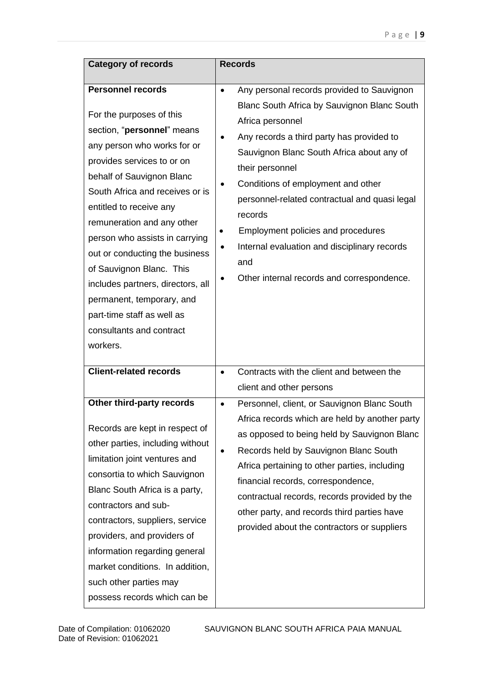| <b>Category of records</b>                                                                                                                                                                                                                                                                                                                                                                                                                                                                                       | <b>Records</b>                                                                                                                                                                                                                                                                                                                                                                                                                                                                                                 |
|------------------------------------------------------------------------------------------------------------------------------------------------------------------------------------------------------------------------------------------------------------------------------------------------------------------------------------------------------------------------------------------------------------------------------------------------------------------------------------------------------------------|----------------------------------------------------------------------------------------------------------------------------------------------------------------------------------------------------------------------------------------------------------------------------------------------------------------------------------------------------------------------------------------------------------------------------------------------------------------------------------------------------------------|
|                                                                                                                                                                                                                                                                                                                                                                                                                                                                                                                  |                                                                                                                                                                                                                                                                                                                                                                                                                                                                                                                |
| <b>Personnel records</b><br>For the purposes of this<br>section, "personnel" means<br>any person who works for or<br>provides services to or on<br>behalf of Sauvignon Blanc<br>South Africa and receives or is<br>entitled to receive any<br>remuneration and any other<br>person who assists in carrying<br>out or conducting the business<br>of Sauvignon Blanc. This<br>includes partners, directors, all<br>permanent, temporary, and<br>part-time staff as well as<br>consultants and contract<br>workers. | Any personal records provided to Sauvignon<br>$\bullet$<br>Blanc South Africa by Sauvignon Blanc South<br>Africa personnel<br>Any records a third party has provided to<br>Sauvignon Blanc South Africa about any of<br>their personnel<br>Conditions of employment and other<br>$\bullet$<br>personnel-related contractual and quasi legal<br>records<br>Employment policies and procedures<br>Internal evaluation and disciplinary records<br>$\bullet$<br>and<br>Other internal records and correspondence. |
| <b>Client-related records</b>                                                                                                                                                                                                                                                                                                                                                                                                                                                                                    | Contracts with the client and between the<br>$\bullet$                                                                                                                                                                                                                                                                                                                                                                                                                                                         |
|                                                                                                                                                                                                                                                                                                                                                                                                                                                                                                                  | client and other persons                                                                                                                                                                                                                                                                                                                                                                                                                                                                                       |
| Other third-party records<br>Records are kept in respect of<br>other parties, including without<br>limitation joint ventures and<br>consortia to which Sauvignon<br>Blanc South Africa is a party,<br>contractors and sub-<br>contractors, suppliers, service<br>providers, and providers of<br>information regarding general<br>market conditions. In addition,<br>such other parties may<br>possess records which can be                                                                                       | Personnel, client, or Sauvignon Blanc South<br>$\bullet$<br>Africa records which are held by another party<br>as opposed to being held by Sauvignon Blanc<br>Records held by Sauvignon Blanc South<br>Africa pertaining to other parties, including<br>financial records, correspondence,<br>contractual records, records provided by the<br>other party, and records third parties have<br>provided about the contractors or suppliers                                                                        |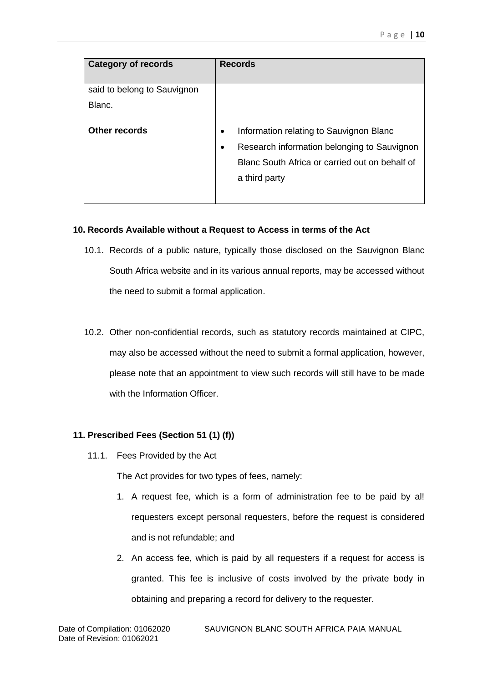| <b>Category of records</b>  | <b>Records</b>                                           |
|-----------------------------|----------------------------------------------------------|
| said to belong to Sauvignon |                                                          |
| Blanc.                      |                                                          |
| <b>Other records</b>        | Information relating to Sauvignon Blanc<br>$\bullet$     |
|                             | Research information belonging to Sauvignon<br>$\bullet$ |
|                             | Blanc South Africa or carried out on behalf of           |
|                             | a third party                                            |
|                             |                                                          |

## **10. Records Available without a Request to Access in terms of the Act**

- 10.1. Records of a public nature, typically those disclosed on the Sauvignon Blanc South Africa website and in its various annual reports, may be accessed without the need to submit a formal application.
- 10.2. Other non-confidential records, such as statutory records maintained at CIPC, may also be accessed without the need to submit a formal application, however, please note that an appointment to view such records will still have to be made with the Information Officer.

# **11. Prescribed Fees (Section 51 (1) (f))**

11.1. Fees Provided by the Act

The Act provides for two types of fees, namely:

- 1. A request fee, which is a form of administration fee to be paid by al! requesters except personal requesters, before the request is considered and is not refundable; and
- 2. An access fee, which is paid by all requesters if a request for access is granted. This fee is inclusive of costs involved by the private body in obtaining and preparing a record for delivery to the requester.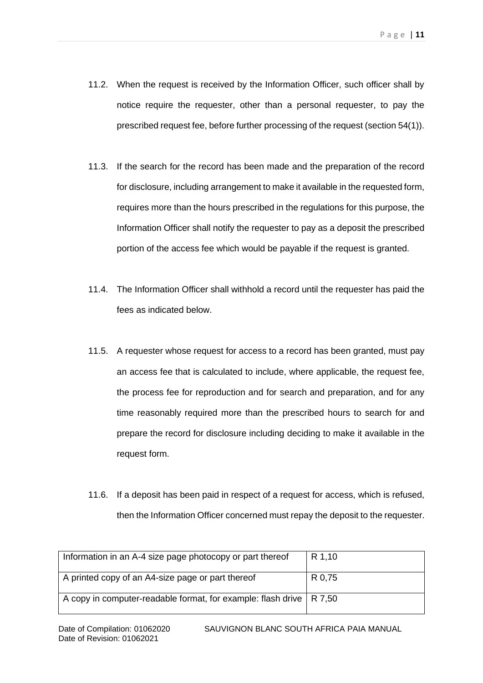- 11.2. When the request is received by the Information Officer, such officer shall by notice require the requester, other than a personal requester, to pay the prescribed request fee, before further processing of the request (section 54(1)).
- 11.3. If the search for the record has been made and the preparation of the record for disclosure, including arrangement to make it available in the requested form, requires more than the hours prescribed in the regulations for this purpose, the Information Officer shall notify the requester to pay as a deposit the prescribed portion of the access fee which would be payable if the request is granted.
- 11.4. The Information Officer shall withhold a record until the requester has paid the fees as indicated below.
- 11.5. A requester whose request for access to a record has been granted, must pay an access fee that is calculated to include, where applicable, the request fee, the process fee for reproduction and for search and preparation, and for any time reasonably required more than the prescribed hours to search for and prepare the record for disclosure including deciding to make it available in the request form.
- 11.6. If a deposit has been paid in respect of a request for access, which is refused, then the Information Officer concerned must repay the deposit to the requester.

| Information in an A-4 size page photocopy or part thereof             | R 1,10 |
|-----------------------------------------------------------------------|--------|
| A printed copy of an A4-size page or part thereof                     | R 0,75 |
| A copy in computer-readable format, for example: flash drive   R 7,50 |        |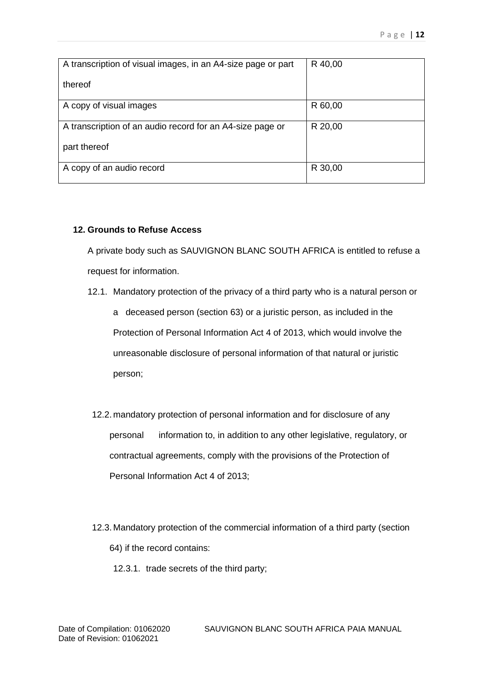| A transcription of visual images, in an A4-size page or part | R 40,00 |
|--------------------------------------------------------------|---------|
| thereof                                                      |         |
| A copy of visual images                                      | R 60,00 |
| A transcription of an audio record for an A4-size page or    | R 20,00 |
| part thereof                                                 |         |
| A copy of an audio record                                    | R 30,00 |

## **12. Grounds to Refuse Access**

A private body such as SAUVIGNON BLANC SOUTH AFRICA is entitled to refuse a request for information.

- 12.1. Mandatory protection of the privacy of a third party who is a natural person or a deceased person (section 63) or a juristic person, as included in the Protection of Personal Information Act 4 of 2013, which would involve the unreasonable disclosure of personal information of that natural or juristic person;
- 12.2. mandatory protection of personal information and for disclosure of any personal information to, in addition to any other legislative, regulatory, or contractual agreements, comply with the provisions of the Protection of Personal Information Act 4 of 2013;
- 12.3. Mandatory protection of the commercial information of a third party (section 64) if the record contains:
	- 12.3.1. trade secrets of the third party;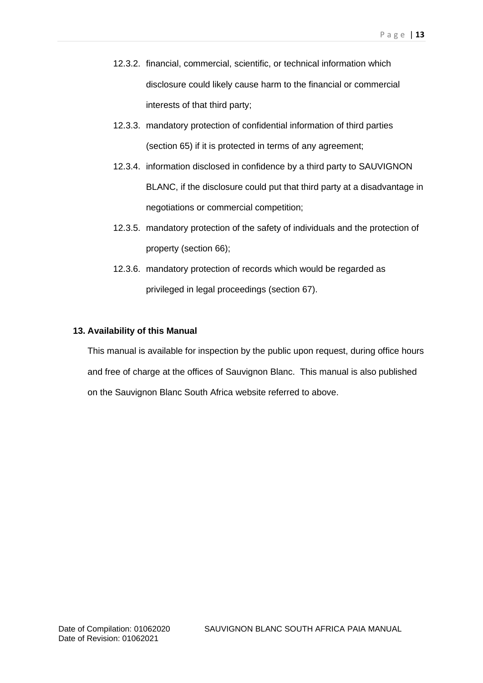- 12.3.2. financial, commercial, scientific, or technical information which disclosure could likely cause harm to the financial or commercial interests of that third party;
- 12.3.3. mandatory protection of confidential information of third parties (section 65) if it is protected in terms of any agreement;
- 12.3.4. information disclosed in confidence by a third party to SAUVIGNON BLANC, if the disclosure could put that third party at a disadvantage in negotiations or commercial competition;
- 12.3.5. mandatory protection of the safety of individuals and the protection of property (section 66);
- 12.3.6. mandatory protection of records which would be regarded as privileged in legal proceedings (section 67).

#### **13. Availability of this Manual**

This manual is available for inspection by the public upon request, during office hours and free of charge at the offices of Sauvignon Blanc. This manual is also published on the Sauvignon Blanc South Africa website referred to above.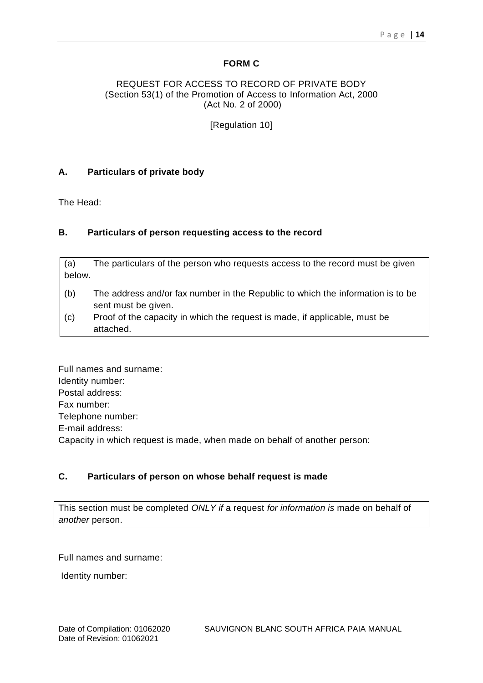## **FORM C**

#### REQUEST FOR ACCESS TO RECORD OF PRIVATE BODY (Section 53(1) of the Promotion of Access to Information Act, 2000 (Act No. 2 of 2000)

[Regulation 10]

## **A. Particulars of private body**

The Head:

## **B. Particulars of person requesting access to the record**

(a) The particulars of the person who requests access to the record must be given below.

- (b) The address and/or fax number in the Republic to which the information is to be sent must be given.
- (c) Proof of the capacity in which the request is made, if applicable, must be attached.

Full names and surname: Identity number: Postal address: Fax number: Telephone number: E-mail address: Capacity in which request is made, when made on behalf of another person:

# **C. Particulars of person on whose behalf request is made**

This section must be completed *ONLY if* a request *for information is* made on behalf of *another* person.

Full names and surname:

Identity number: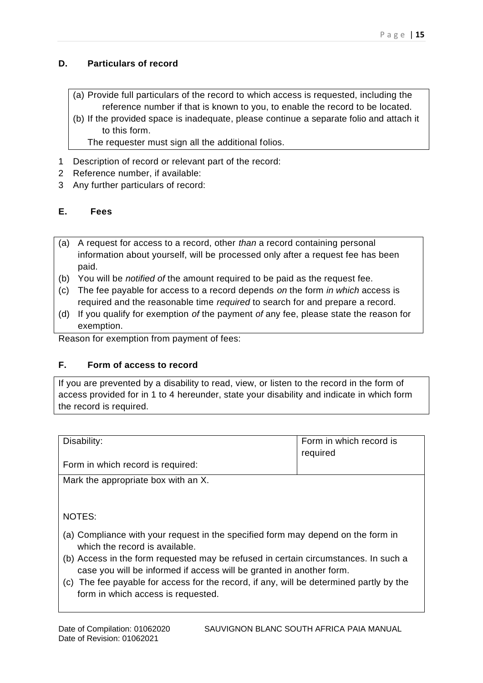# **D. Particulars of record**

- (a) Provide full particulars of the record to which access is requested, including the reference number if that is known to you, to enable the record to be located.
- (b) If the provided space is inadequate, please continue a separate folio and attach it to this form.

The requester must sign all the additional folios.

- 1 Description of record or relevant part of the record:
- 2 Reference number, if available:
- 3 Any further particulars of record:

## **E. Fees**

- (a) A request for access to a record, other *than* a record containing personal information about yourself, will be processed only after a request fee has been paid.
- (b) You will be *notified of* the amount required to be paid as the request fee.
- (c) The fee payable for access to a record depends *on* the form *in which* access is required and the reasonable time *required* to search for and prepare a record.
- (d) If you qualify for exemption *of* the payment *of* any fee, please state the reason for exemption.

Reason for exemption from payment of fees:

## **F. Form of access to record**

If you are prevented by a disability to read, view, or listen to the record in the form of access provided for in 1 to 4 hereunder, state your disability and indicate in which form the record is required.

| Disability:                         | Form in which record is<br>required |
|-------------------------------------|-------------------------------------|
| Form in which record is required:   |                                     |
| Mark the appropriate box with an X. |                                     |

NOTES:

- (a) Compliance with your request in the specified form may depend on the form in which the record is available.
- (b) Access in the form requested may be refused in certain circumstances. In such a case you will be informed if access will be granted in another form.
- (c) The fee payable for access for the record, if any, will be determined partly by the form in which access is requested.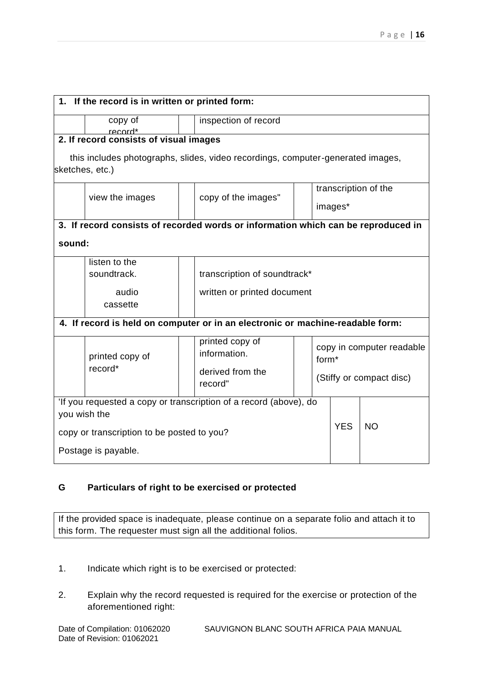| 1. If the record is in written or printed form:                                   |                                        |                                                                                 |            |                                                |                      |  |
|-----------------------------------------------------------------------------------|----------------------------------------|---------------------------------------------------------------------------------|------------|------------------------------------------------|----------------------|--|
|                                                                                   | copy of<br>record*                     | inspection of record                                                            |            |                                                |                      |  |
|                                                                                   | 2. If record consists of visual images |                                                                                 |            |                                                |                      |  |
|                                                                                   | sketches, etc.)                        | this includes photographs, slides, video recordings, computer-generated images, |            |                                                |                      |  |
|                                                                                   |                                        |                                                                                 |            |                                                | transcription of the |  |
|                                                                                   | view the images                        | copy of the images"                                                             |            | images*                                        |                      |  |
| 3. If record consists of recorded words or information which can be reproduced in |                                        |                                                                                 |            |                                                |                      |  |
| sound:                                                                            |                                        |                                                                                 |            |                                                |                      |  |
|                                                                                   | listen to the                          |                                                                                 |            |                                                |                      |  |
|                                                                                   | soundtrack.                            | transcription of soundtrack*                                                    |            |                                                |                      |  |
|                                                                                   | audio                                  | written or printed document                                                     |            |                                                |                      |  |
|                                                                                   | cassette                               |                                                                                 |            |                                                |                      |  |
|                                                                                   |                                        | 4. If record is held on computer or in an electronic or machine-readable form:  |            |                                                |                      |  |
| printed copy of<br>record*                                                        |                                        | printed copy of<br>information.                                                 |            | copy in computer readable<br>form <sup>*</sup> |                      |  |
|                                                                                   |                                        | derived from the<br>record"                                                     |            | (Stiffy or compact disc)                       |                      |  |
| 'If you requested a copy or transcription of a record (above), do<br>you wish the |                                        |                                                                                 |            |                                                |                      |  |
| copy or transcription to be posted to you?                                        |                                        |                                                                                 | <b>YES</b> | <b>NO</b>                                      |                      |  |
| Postage is payable.                                                               |                                        |                                                                                 |            |                                                |                      |  |

# **G Particulars of right to be exercised or protected**

If the provided space is inadequate, please continue on a separate folio and attach it to this form. The requester must sign all the additional folios.

- 1. Indicate which right is to be exercised or protected:
- 2. Explain why the record requested is required for the exercise or protection of the aforementioned right: